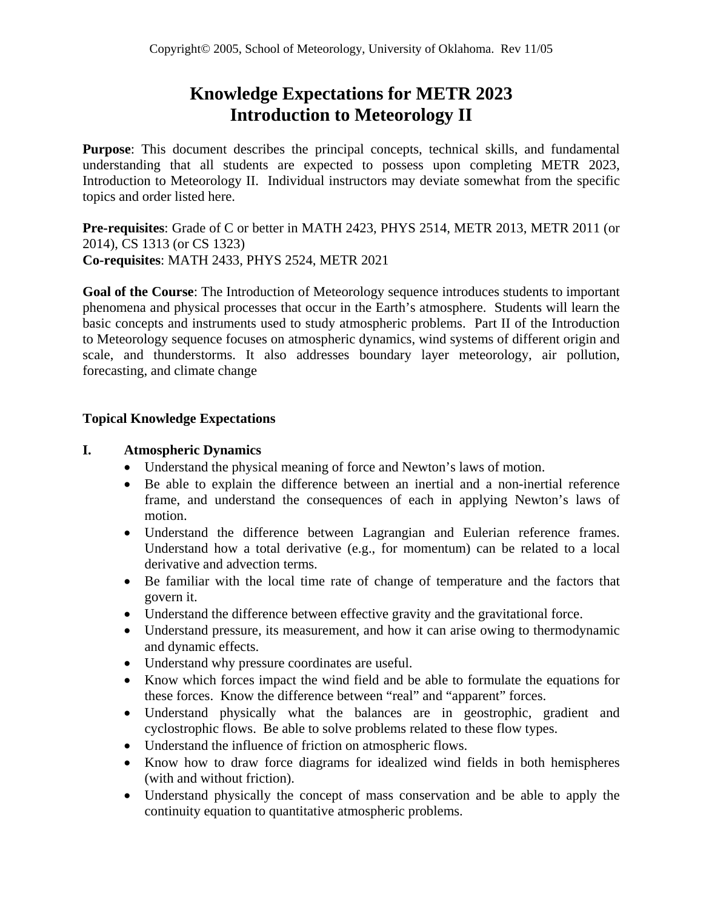# **Knowledge Expectations for METR 2023 Introduction to Meteorology II**

**Purpose**: This document describes the principal concepts, technical skills, and fundamental understanding that all students are expected to possess upon completing METR 2023, Introduction to Meteorology II. Individual instructors may deviate somewhat from the specific topics and order listed here.

**Pre-requisites**: Grade of C or better in MATH 2423, PHYS 2514, METR 2013, METR 2011 (or 2014), CS 1313 (or CS 1323) **Co-requisites**: MATH 2433, PHYS 2524, METR 2021

**Goal of the Course**: The Introduction of Meteorology sequence introduces students to important phenomena and physical processes that occur in the Earth's atmosphere. Students will learn the basic concepts and instruments used to study atmospheric problems. Part II of the Introduction to Meteorology sequence focuses on atmospheric dynamics, wind systems of different origin and scale, and thunderstorms. It also addresses boundary layer meteorology, air pollution, forecasting, and climate change

### **Topical Knowledge Expectations**

#### **I. Atmospheric Dynamics**

- Understand the physical meaning of force and Newton's laws of motion.
- Be able to explain the difference between an inertial and a non-inertial reference frame, and understand the consequences of each in applying Newton's laws of motion.
- Understand the difference between Lagrangian and Eulerian reference frames. Understand how a total derivative (e.g., for momentum) can be related to a local derivative and advection terms.
- Be familiar with the local time rate of change of temperature and the factors that govern it.
- Understand the difference between effective gravity and the gravitational force.
- Understand pressure, its measurement, and how it can arise owing to thermodynamic and dynamic effects.
- Understand why pressure coordinates are useful.
- Know which forces impact the wind field and be able to formulate the equations for these forces. Know the difference between "real" and "apparent" forces.
- Understand physically what the balances are in geostrophic, gradient and cyclostrophic flows. Be able to solve problems related to these flow types.
- Understand the influence of friction on atmospheric flows.
- Know how to draw force diagrams for idealized wind fields in both hemispheres (with and without friction).
- Understand physically the concept of mass conservation and be able to apply the continuity equation to quantitative atmospheric problems.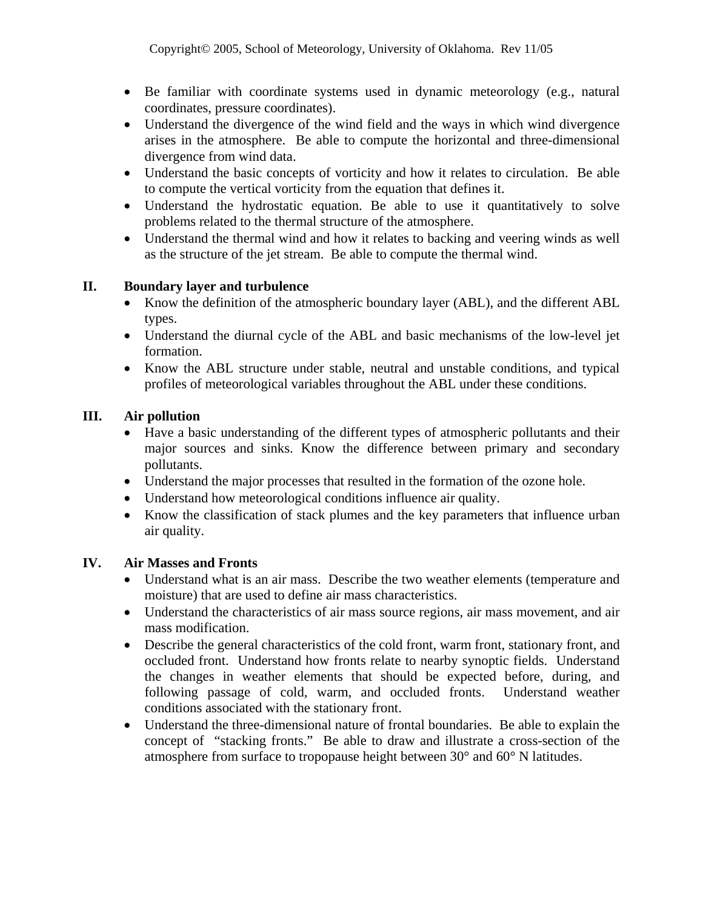- Be familiar with coordinate systems used in dynamic meteorology (e.g., natural coordinates, pressure coordinates).
- Understand the divergence of the wind field and the ways in which wind divergence arises in the atmosphere. Be able to compute the horizontal and three-dimensional divergence from wind data.
- Understand the basic concepts of vorticity and how it relates to circulation. Be able to compute the vertical vorticity from the equation that defines it.
- Understand the hydrostatic equation. Be able to use it quantitatively to solve problems related to the thermal structure of the atmosphere.
- Understand the thermal wind and how it relates to backing and veering winds as well as the structure of the jet stream. Be able to compute the thermal wind.

### **II. Boundary layer and turbulence**

- Know the definition of the atmospheric boundary layer (ABL), and the different ABL types.
- Understand the diurnal cycle of the ABL and basic mechanisms of the low-level jet formation.
- Know the ABL structure under stable, neutral and unstable conditions, and typical profiles of meteorological variables throughout the ABL under these conditions.

### **III. Air pollution**

- Have a basic understanding of the different types of atmospheric pollutants and their major sources and sinks. Know the difference between primary and secondary pollutants.
- Understand the major processes that resulted in the formation of the ozone hole.
- Understand how meteorological conditions influence air quality.
- Know the classification of stack plumes and the key parameters that influence urban air quality.

#### **IV. Air Masses and Fronts**

- Understand what is an air mass. Describe the two weather elements (temperature and moisture) that are used to define air mass characteristics.
- Understand the characteristics of air mass source regions, air mass movement, and air mass modification.
- Describe the general characteristics of the cold front, warm front, stationary front, and occluded front. Understand how fronts relate to nearby synoptic fields. Understand the changes in weather elements that should be expected before, during, and following passage of cold, warm, and occluded fronts. Understand weather conditions associated with the stationary front.
- Understand the three-dimensional nature of frontal boundaries. Be able to explain the concept of "stacking fronts." Be able to draw and illustrate a cross-section of the atmosphere from surface to tropopause height between 30° and 60° N latitudes.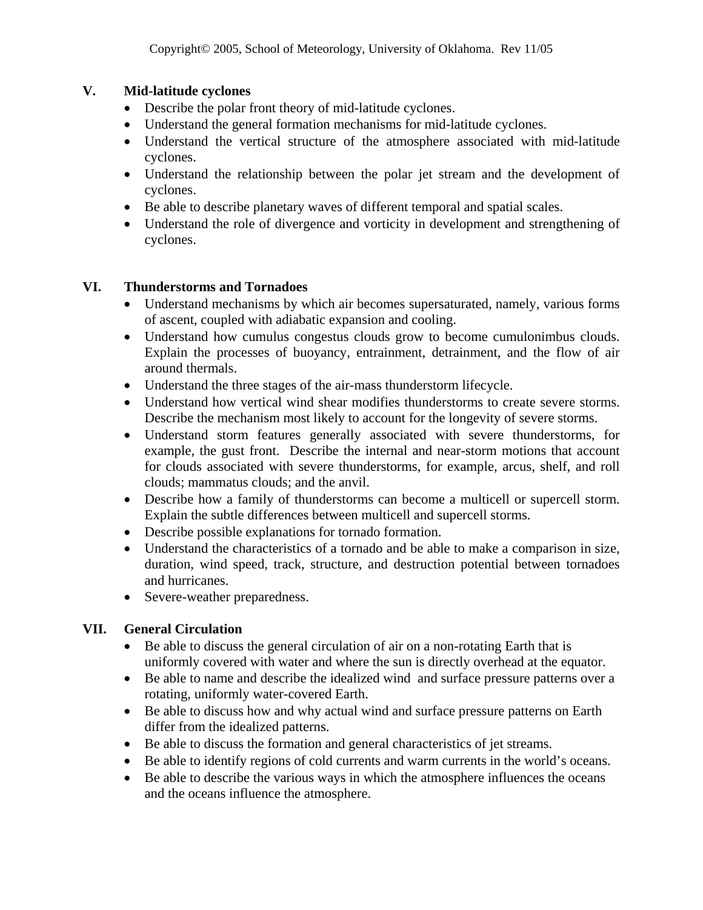## **V. Mid-latitude cyclones**

- Describe the polar front theory of mid-latitude cyclones.
- Understand the general formation mechanisms for mid-latitude cyclones.
- Understand the vertical structure of the atmosphere associated with mid-latitude cyclones.
- Understand the relationship between the polar jet stream and the development of cyclones.
- Be able to describe planetary waves of different temporal and spatial scales.
- Understand the role of divergence and vorticity in development and strengthening of cyclones.

## **VI. Thunderstorms and Tornadoes**

- Understand mechanisms by which air becomes supersaturated, namely, various forms of ascent, coupled with adiabatic expansion and cooling.
- Understand how cumulus congestus clouds grow to become cumulonimbus clouds. Explain the processes of buoyancy, entrainment, detrainment, and the flow of air around thermals.
- Understand the three stages of the air-mass thunderstorm lifecycle.
- Understand how vertical wind shear modifies thunderstorms to create severe storms. Describe the mechanism most likely to account for the longevity of severe storms.
- Understand storm features generally associated with severe thunderstorms, for example, the gust front. Describe the internal and near-storm motions that account for clouds associated with severe thunderstorms, for example, arcus, shelf, and roll clouds; mammatus clouds; and the anvil.
- Describe how a family of thunderstorms can become a multicell or supercell storm. Explain the subtle differences between multicell and supercell storms.
- Describe possible explanations for tornado formation.
- Understand the characteristics of a tornado and be able to make a comparison in size, duration, wind speed, track, structure, and destruction potential between tornadoes and hurricanes.
- Severe-weather preparedness.

# **VII. General Circulation**

- Be able to discuss the general circulation of air on a non-rotating Earth that is uniformly covered with water and where the sun is directly overhead at the equator.
- Be able to name and describe the idealized wind and surface pressure patterns over a rotating, uniformly water-covered Earth.
- Be able to discuss how and why actual wind and surface pressure patterns on Earth differ from the idealized patterns.
- Be able to discuss the formation and general characteristics of jet streams.
- Be able to identify regions of cold currents and warm currents in the world's oceans.
- Be able to describe the various ways in which the atmosphere influences the oceans and the oceans influence the atmosphere.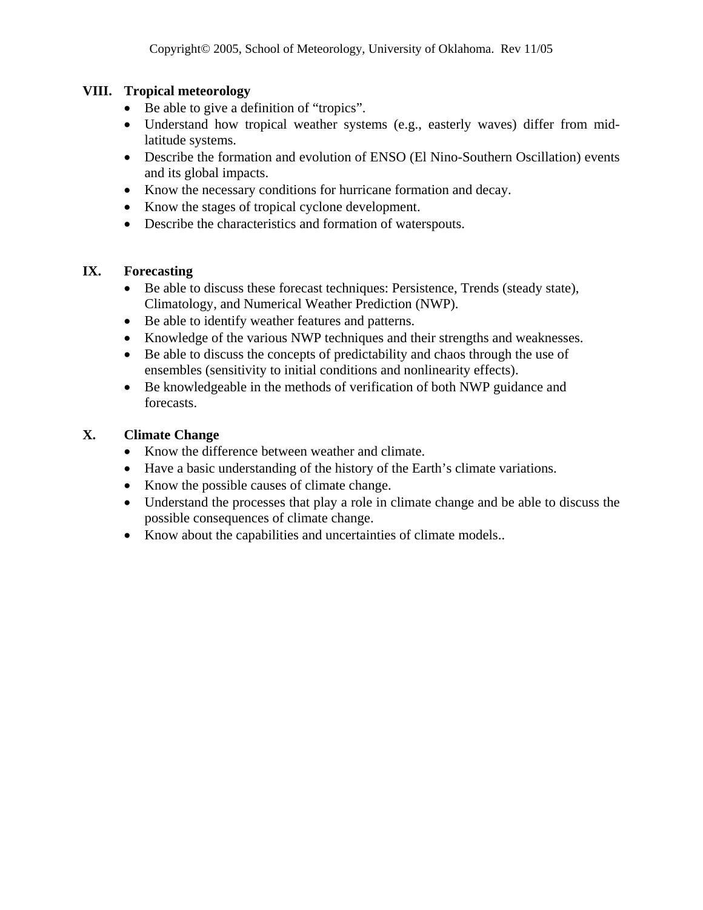## **VIII. Tropical meteorology**

- Be able to give a definition of "tropics".
- Understand how tropical weather systems (e.g., easterly waves) differ from midlatitude systems.
- Describe the formation and evolution of ENSO (El Nino-Southern Oscillation) events and its global impacts.
- Know the necessary conditions for hurricane formation and decay.
- Know the stages of tropical cyclone development.
- Describe the characteristics and formation of waterspouts.

## **IX. Forecasting**

- Be able to discuss these forecast techniques: Persistence, Trends (steady state), Climatology, and Numerical Weather Prediction (NWP).
- Be able to identify weather features and patterns.
- Knowledge of the various NWP techniques and their strengths and weaknesses.
- Be able to discuss the concepts of predictability and chaos through the use of ensembles (sensitivity to initial conditions and nonlinearity effects).
- Be knowledgeable in the methods of verification of both NWP guidance and forecasts.

## **X. Climate Change**

- Know the difference between weather and climate.
- Have a basic understanding of the history of the Earth's climate variations.
- Know the possible causes of climate change.
- Understand the processes that play a role in climate change and be able to discuss the possible consequences of climate change.
- Know about the capabilities and uncertainties of climate models..